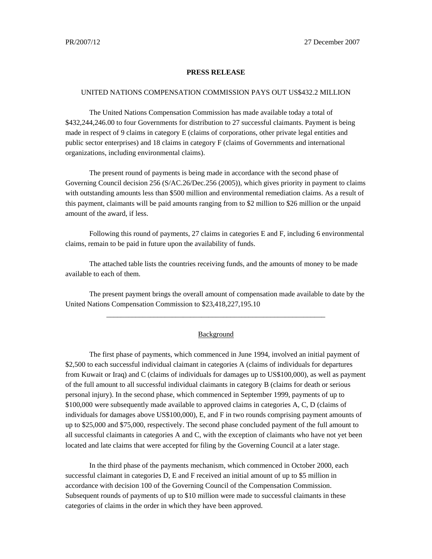## **PRESS RELEASE**

## UNITED NATIONS COMPENSATION COMMISSION PAYS OUT US\$432.2 MILLION

The United Nations Compensation Commission has made available today a total of \$432,244,246.00 to four Governments for distribution to 27 successful claimants. Payment is being made in respect of 9 claims in category E (claims of corporations, other private legal entities and public sector enterprises) and 18 claims in category F (claims of Governments and international organizations, including environmental claims).

The present round of payments is being made in accordance with the second phase of Governing Council decision 256 (S/AC.26/Dec.256 (2005)), which gives priority in payment to claims with outstanding amounts less than \$500 million and environmental remediation claims. As a result of this payment, claimants will be paid amounts ranging from to \$2 million to \$26 million or the unpaid amount of the award, if less.

Following this round of payments, 27 claims in categories E and F, including 6 environmental claims, remain to be paid in future upon the availability of funds.

The attached table lists the countries receiving funds, and the amounts of money to be made available to each of them.

The present payment brings the overall amount of compensation made available to date by the United Nations Compensation Commission to \$23,418,227,195.10

\_\_\_\_\_\_\_\_\_\_\_\_\_\_\_\_\_\_\_\_\_\_\_\_\_\_\_\_\_\_\_\_\_\_\_\_\_\_\_\_\_\_\_\_\_\_\_\_\_\_\_\_\_\_\_\_\_\_\_\_

## **Background**

The first phase of payments, which commenced in June 1994, involved an initial payment of \$2,500 to each successful individual claimant in categories A (claims of individuals for departures from Kuwait or Iraq) and C (claims of individuals for damages up to US\$100,000), as well as payment of the full amount to all successful individual claimants in category B (claims for death or serious personal injury). In the second phase, which commenced in September 1999, payments of up to \$100,000 were subsequently made available to approved claims in categories A, C, D (claims of individuals for damages above US\$100,000), E, and F in two rounds comprising payment amounts of up to \$25,000 and \$75,000, respectively. The second phase concluded payment of the full amount to all successful claimants in categories A and C, with the exception of claimants who have not yet been located and late claims that were accepted for filing by the Governing Council at a later stage.

In the third phase of the payments mechanism, which commenced in October 2000, each successful claimant in categories D, E and F received an initial amount of up to \$5 million in accordance with decision 100 of the Governing Council of the Compensation Commission. Subsequent rounds of payments of up to \$10 million were made to successful claimants in these categories of claims in the order in which they have been approved.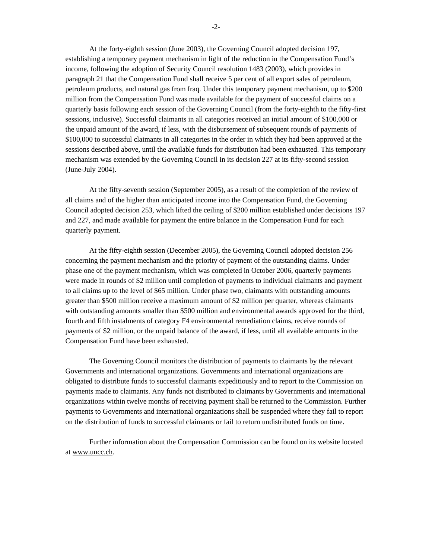At the forty-eighth session (June 2003), the Governing Council adopted decision 197, establishing a temporary payment mechanism in light of the reduction in the Compensation Fund's income, following the adoption of Security Council resolution 1483 (2003), which provides in paragraph 21 that the Compensation Fund shall receive 5 per cent of all export sales of petroleum, petroleum products, and natural gas from Iraq. Under this temporary payment mechanism, up to \$200 million from the Compensation Fund was made available for the payment of successful claims on a quarterly basis following each session of the Governing Council (from the forty-eighth to the fifty-first sessions, inclusive). Successful claimants in all categories received an initial amount of \$100,000 or the unpaid amount of the award, if less, with the disbursement of subsequent rounds of payments of \$100,000 to successful claimants in all categories in the order in which they had been approved at the sessions described above, until the available funds for distribution had been exhausted. This temporary mechanism was extended by the Governing Council in its decision 227 at its fifty-second session (June-July 2004).

At the fifty-seventh session (September 2005), as a result of the completion of the review of all claims and of the higher than anticipated income into the Compensation Fund, the Governing Council adopted decision 253, which lifted the ceiling of \$200 million established under decisions 197 and 227, and made available for payment the entire balance in the Compensation Fund for each quarterly payment.

At the fifty-eighth session (December 2005), the Governing Council adopted decision 256 concerning the payment mechanism and the priority of payment of the outstanding claims. Under phase one of the payment mechanism, which was completed in October 2006, quarterly payments were made in rounds of \$2 million until completion of payments to individual claimants and payment to all claims up to the level of \$65 million. Under phase two, claimants with outstanding amounts greater than \$500 million receive a maximum amount of \$2 million per quarter, whereas claimants with outstanding amounts smaller than \$500 million and environmental awards approved for the third, fourth and fifth instalments of category F4 environmental remediation claims, receive rounds of payments of \$2 million, or the unpaid balance of the award, if less, until all available amounts in the Compensation Fund have been exhausted.

The Governing Council monitors the distribution of payments to claimants by the relevant Governments and international organizations. Governments and international organizations are obligated to distribute funds to successful claimants expeditiously and to report to the Commission on payments made to claimants. Any funds not distributed to claimants by Governments and international organizations within twelve months of receiving payment shall be returned to the Commission. Further payments to Governments and international organizations shall be suspended where they fail to report on the distribution of funds to successful claimants or fail to return undistributed funds on time.

Further information about the Compensation Commission can be found on its website located at www.uncc.ch.